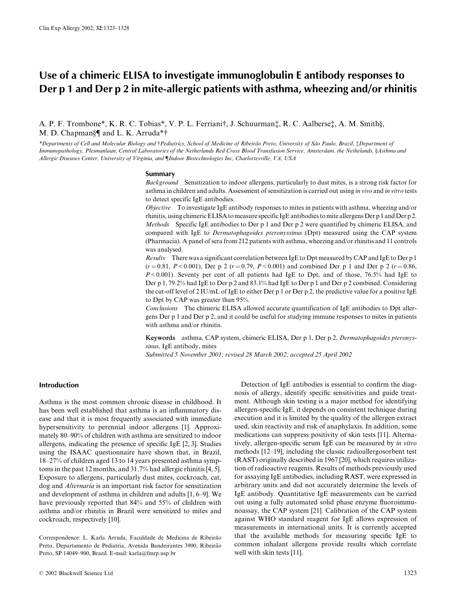# Use of a chimeric ELISA to investigate immunoglobulin E antibody responses to Der p 1 and Der p 2 in mite-allergic patients with asthma, wheezing and/or rhinitis

A. P. F. Trombone\*, K. R. C. Tobias\*, V. P. L. Ferriani†, J. Schuurman‡, R. C. Aalberse‡, A. M. Smith§, M. D. Chapman§¶ and L. K. Arruda\*†

\*Departments of Cell and Molecular Biology and †Pediatrics, School of Medicine of Ribeirão Preto, University of São Paulo, Brazil, ‡Department of Immunopathology, Plesmanlaan, Central Laboratories of the Netherlands Red Cross Blood Transfusion Service, Amsterdam, the Nethelands, §Asthma and Allergic Diseases Center, University of Virginia, and ¶Indoor Biotechnologies Inc, Charlottesville, VA, USA

## **Summary**

Background Sensitization to indoor allergens, particularly to dust mites, is a strong risk factor for asthma in children and adults. Assessment of sensitization is carried out using in vivo and in vitro tests to detect specific IgE antibodies.

*Objective* To investigate IgE antibody responses to mites in patients with asthma, wheezing and/or rhinitis, using chimeric ELISA to measure specific IgE antibodies to mite allergens Der p 1 and Der p 2. Methods Specific IgE antibodies to Der p 1 and Der p 2 were quantified by chimeric ELISA, and compared with IgE to *Dermatophagoides pteronyssinus* (Dpt) measured using the CAP system (Pharmacia). A panel of sera from 212 patients with asthma, wheezing and/or rhinitis and 11 controls was analysed.

Results There was a significant correlation between IgE to Dpt measured by CAP and IgE to Der p 1  $(r=0.81, P<0.001)$ , Der p 2  $(r=0.79, P<0.001)$  and combined Der p 1 and Der p 2  $(r=0.86, P<0.001)$  $P < 0.001$ ). Seventy per cent of all patients had IgE to Dpt, and of those, 76.5% had IgE to Der p 1, 79.2% had IgE to Der p 2 and 83.1% had IgE to Der p 1 and Der p 2 combined. Considering the cut-off level of 2 IU/mL of IgE to either Der p 1 or Der p 2, the predictive value for a positive IgE to Dpt by CAP was greater than 95%.

Conclusions The chimeric ELISA allowed accurate quantification of IgE antibodies to Dpt allergens Der  $p 1$  and Der  $p 2$ , and it could be useful for studying immune responses to mites in patients with asthma and/or rhinitis.

Keywords asthma, CAP system, chimeric ELISA, Der p 1, Der p 2, Dermatophagoides pteronyssinus, IgE antibody, mites

Submitted 5 November 2001; revised 28 March 2002; accepted 25 April 2002

# **Introduction**

Asthma is the most common chronic disease in childhood. It has been well established that asthma is an inflammatory disease and that it is most frequently associated with immediate hypersensitivity to perennial indoor allergens [1]. Approximately 80–90% of children with asthma are sensitized to indoor allergens, indicating the presence of specific IgE [2, 3]. Studies using the ISAAC questionnaire have shown that, in Brazil, 18-27% of children aged 13 to 14 years presented asthma symptoms in the past 12 months, and 31.7% had allergic rhinitis [4, 5]. Exposure to allergens, particularly dust mites, cockroach, cat, dog and *Alternaria* is an important risk factor for sensitization and development of asthma in children and adults  $[1, 6-9]$ . We have previously reported that 84% and 55% of children with asthma and/or rhinitis in Brazil were sensitized to mites and cockroach, respectively [10].

Correspondence: L. Karla Arruda, Faculdade de Medicina de Ribeirão Preto, Departamento de Pediatria, Avenida Bandeirantes 3900, Ribeirão Preto, SP 14049-900, Brazil. E-mail: karla@fmrp.usp.br

Detection of IgE antibodies is essential to confirm the diagnosis of allergy, identify specific sensitivities and guide treatment. Although skin testing is a major method for identifying allergen-specific IgE, it depends on consistent technique during execution and it is limited by the quality of the allergen extract used, skin reactivity and risk of anaphylaxis. In addition, some medications can suppress positivity of skin tests [11]. Alternatively, allergen-specific serum IgE can be measured by in vitro methods  $[12-19]$ , including the classic radioallergosorbent test (RAST) originally described in 1967 [20], which requires utilization of radioactive reagents. Results of methods previously used for assaying IgE antibodies, including RAST, were expressed in arbitrary units and did not accurately determine the levels of IgE antibody. Quantitative IgE measurements can be carried out using a fully automated solid phase enzyme fluoroimmunoassay, the CAP system [21]. Calibration of the CAP system against WHO standard reagent for IgE allows expression of measurements in international units. It is currently accepted that the available methods for measuring specific IgE to common inhalant allergens provide results which correlate well with skin tests [11].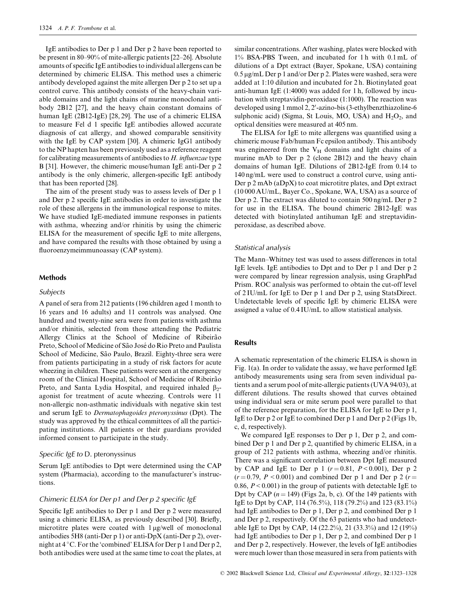IgE antibodies to Der p 1 and Der p 2 have been reported to be present in 80–90% of mite-allergic patients [22–26]. Absolute amounts of specific IgE antibodies to individual allergens can be determined by chimeric ELISA. This method uses a chimeric antibody developed against the mite allergen Der p 2 to set up a control curve. This antibody consists of the heavy-chain variable domains and the light chains of murine monoclonal antibody 2B12 [27], and the heavy chain constant domains of human IgE (2B12-IgE) [28, 29]. The use of a chimeric ELISA to measure Fel d 1 specific IgE antibodies allowed accurate diagnosis of cat allergy, and showed comparable sensitivity with the IgE by CAP system [30]. A chimeric IgG1 antibody to the NP hapten has been previously used as a reference reagent for calibrating measurements of antibodies to  $H$ . influenzae type B [31]. However, the chimeric mouse/human IgE anti-Der p 2 antibody is the only chimeric, allergen-specific IgE antibody that has been reported [28].

The aim of the present study was to assess levels of Der p 1 and Der p 2 specific IgE antibodies in order to investigate the role of these allergens in the immunological response to mites. We have studied IgE-mediated immune responses in patients with asthma, wheezing and/or rhinitis by using the chimeric ELISA for the measurement of specific IgE to mite allergens, and have compared the results with those obtained by using a fluoroenzymeimmunoassay (CAP system).

#### **Methods**

### Subjects

A panel of sera from 212 patients (196 children aged 1 month to 16 years and 16 adults) and 11 controls was analysed. One hundred and twenty-nine sera were from patients with asthma and/or rhinitis, selected from those attending the Pediatric Allergy Clinics at the School of Medicine of Ribeirão Preto, School of Medicine of São José do Rio Preto and Paulista School of Medicine, São Paulo, Brazil. Eighty-three sera were from patients participating in a study of risk factors for acute wheezing in children. These patients were seen at the emergency room of the Clinical Hospital, School of Medicine of Ribeirão Preto, and Santa Lydia Hospital, and required inhaled  $\beta$ agonist for treatment of acute wheezing. Controls were 11 non-allergic non-asthmatic individuals with negative skin test and serum IgE to *Dermatophagoides pteronyssinus* (Dpt). The study was approved by the ethical committees of all the participating institutions. All patients or their guardians provided informed consent to participate in the study.

## Specific IgE to D. pteronyssinus

Serum IgE antibodies to Dpt were determined using the CAP system (Pharmacia), according to the manufacturer's instructions.

## Chimeric ELISA for Der p1 and Der p 2 specific IgE

Specific IgE antibodies to Der p 1 and Der p 2 were measured using a chimeric ELISA, as previously described [30]. Briefly, microtitre plates were coated with 1 µg/well of monoclonal antibodies 5H8 (anti-Der  $p 1$ ) or anti-D $pX$  (anti-Der  $p 2$ ), overnight at 4 °C. For the 'combined' ELISA for Der p 1 and Der p 2, both antibodies were used at the same time to coat the plates, at similar concentrations. After washing, plates were blocked with 1% BSA-PBS Tween, and incubated for 1h with 0.1 mL of dilutions of a Dpt extract (Bayer, Spokane, USA) containing 0.5 µg/mL Der p 1 and/or Der p 2. Plates were washed, sera were added at 1:10 dilution and incubated for 2 h. Biotinylated goat anti-human IgE (1:4000) was added for 1 h, followed by incubation with streptavidin-peroxidase (1:1000). The reaction was developed using 1 mmol 2, 2'-azino-bis (3-ethylbenzthiazoline-6 sulphonic acid) (Sigma, St Louis, MO, USA) and  $H_2O_2$ , and optical densities were measured at 405 nm.

The ELISA for IgE to mite allergens was quantified using a chimeric mouse Fab/human Fc epsilon antibody. This antibody was engineered from the V<sub>H</sub> domains and light chains of a murine mAb to Der p 2 (clone 2B12) and the heavy chain domains of human IgE. Dilutions of 2B12-IgE from 0.14 to 140 ng/mL were used to construct a control curve, using anti-Der p 2 mAb (aDpX) to coat microtitre plates, and Dpt extract  $(10000 \text{ AU/mL},$  Bayer Co., Spokane, WA, USA) as a source of Der p 2. The extract was diluted to contain 500 ng/mL Der p 2 for use in the ELISA. The bound chimeric 2B12-IgE was detected with biotinylated antihuman IgE and streptavidinperoxidase, as described above.

#### Statistical analysis

The Mann-Whitney test was used to assess differences in total IgE levels. IgE antibodies to Dpt and to Der p 1 and Der p 2 were compared by linear regression analysis, using GraphPad Prism. ROC analysis was performed to obtain the cut-off level of 2IU/mL for IgE to Der p 1 and Der p 2, using StatsDirect. Undetectable levels of specific IgE by chimeric ELISA were assigned a value of 0.4 IU/mL to allow statistical analysis.

## **Results**

A schematic representation of the chimeric ELISA is shown in Fig.  $1(a)$ . In order to validate the assay, we have performed IgE antibody measurements using sera from seven individual patients and a serum pool of mite-allergic patients (UVA 94/03), at different dilutions. The results showed that curves obtained using individual sera or mite serum pool were parallel to that of the reference preparation, for the ELISA for IgE to Der p 1, IgE to Der p 2 or IgE to combined Der p 1 and Der p 2 (Figs 1b, c, d, respectively).

We compared IgE responses to Der  $p$  1, Der  $p$  2, and combined Der p 1 and Der p 2, quantified by chimeric ELISA, in a group of 212 patients with asthma, wheezing and/or rhinitis. There was a significant correlation between Dpt IgE measured by CAP and IgE to Der p 1  $(r = 0.81, P < 0.001)$ , Der p 2  $(r=0.79, P<0.001)$  and combined Der p 1 and Der p 2  $(r=$ 0.86,  $P < 0.001$ ) in the group of patients with detectable IgE to Dpt by CAP  $(n = 149)$  (Figs 2a, b, c). Of the 149 patients with IgE to Dpt by CAP, 114 (76.5%), 118 (79.2%) and 123 (83.1%) had IgE antibodies to Der p 1, Der p 2, and combined Der p 1 and Der p 2, respectively. Of the 63 patients who had undetectable IgE to Dpt by CAP, 14 (22.2%), 21 (33.3%) and 12 (19%) had IgE antibodies to Der p 1, Der p 2, and combined Der p 1 and Der p 2, respectively. However, the levels of IgE antibodies were much lower than those measured in sera from patients with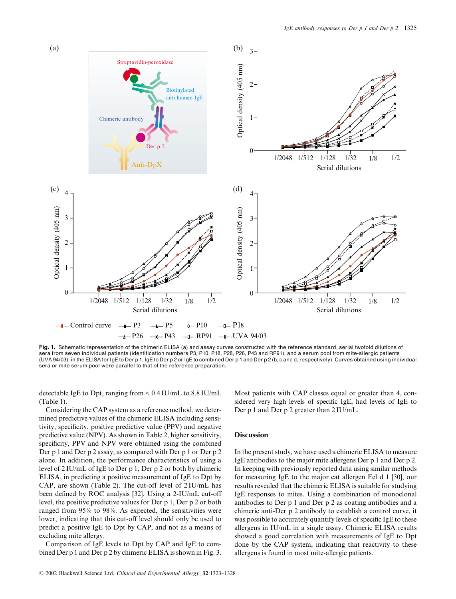

Fig. 1. Schematic representation of the chimeric ELISA (a) and assay curves constructed with the reference standard, serial twofold dilutions of sera from seven individual patients (identification numbers P3, P10, P18, P28, P26, P43 and RP91), and a serum pool from mite-allergic patients (UVA 94/03), in the ELISA for IgE to Der p 1, IgE to Der p 2 or IgE to combined Der p 1 and Der p 2 (b, c and d, respectively). Curves obtained using individual sera or mite serum pool were parallel to that of the reference preparation.

detectable IgE to Dpt, ranging from  $< 0.4$  IU/mL to  $8.8$  IU/mL  $(Table 1).$ 

Considering the CAP system as a reference method, we determined predictive values of the chimeric ELISA including sensitivity, specificity, positive predictive value (PPV) and negative predictive value (NPV). As shown in Table 2, higher sensitivity, specificity, PPV and NPV were obtained using the combined Der p 1 and Der p 2 assay, as compared with Der p 1 or Der p 2 alone. In addition, the performance characteristics of using a level of  $2$  IU/mL of IgE to Der p 1, Der p 2 or both by chimeric ELISA, in predicting a positive measurement of IgE to Dpt by  $CAP$ , are shown (Table 2). The cut-off level of  $2\text{IU/mL}$  has been defined by ROC analysis [32]. Using a 2-IU/mL cut-off level, the positive predictive values for Der  $p \, 1$ , Der  $p \, 2$  or both ranged from 95% to 98%. As expected, the sensitivities were lower, indicating that this cut-off level should only be used to predict a positive IgE to Dpt by CAP, and not as a means of excluding mite allergy.

Comparison of IgE levels to Dpt by CAP and IgE to combined Der p 1 and Der p 2 by chimeric ELISA is shown in Fig. 3.

Most patients with CAP classes equal or greater than 4, considered very high levels of specific IgE, had levels of IgE to Der  $p$  1 and Der  $p$  2 greater than  $2$  IU/mL.

## Discussion

In the present study, we have used a chimeric ELISA to measure IgE antibodies to the major mite allergens Der  $p 1$  and Der  $p 2$ . In keeping with previously reported data using similar methods for measuring IgE to the major cat allergen Fel d 1 [30], our results revealed that the chimeric ELISA is suitable for studying IgE responses to mites. Using a combination of monoclonal antibodies to Der  $p 1$  and Der  $p 2$  as coating antibodies and a chimeric anti-Der p 2 antibody to establish a control curve, it was possible to accurately quantify levels of specific IgE to these allergens in IU/mL in a single assay. Chimeric ELISA results showed a good correlation with measurements of IgE to Dpt done by the CAP system, indicating that reactivity to these allergens is found in most mite-allergic patients.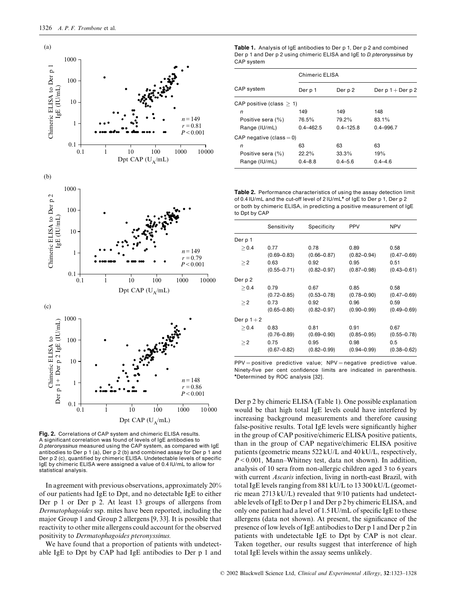

Fig. 2. Correlations of CAP system and chimeric ELISA results. A significant correlation was found of levels of IqE antibodies to D. pteronyssinus measured using the CAP system, as compared with IgE antibodies to Der p 1 (a), Der p 2 (b) and combined assay for Der p 1 and Der p 2 (c), quantified by chimeric ELISA. Undetectable levels of specific IgE by chimeric ELISA were assigned a value of 0.4 IU/mL to allow for statistical analysis

In agreement with previous observations, approximately 20% of our patients had IgE to Dpt, and no detectable IgE to either Der p 1 or Der p 2. At least 13 groups of allergens from Dermatophagoides ssp. mites have been reported, including the major Group 1 and Group 2 allergens [9, 33]. It is possible that reactivity to other mite allergens could account for the observed positivity to Dermatophagoides pteronyssinus.

We have found that a proportion of patients with undetectable IgE to Dpt by CAP had IgE antibodies to Der p 1 and

Table 1. Analysis of IgE antibodies to Der p 1, Der p 2 and combined Der p 1 and Der p 2 using chimeric ELISA and IgE to D. pteronyssinus by CAP system

|                             |               | Chimeric ELISA |                     |  |  |
|-----------------------------|---------------|----------------|---------------------|--|--|
| CAP system                  | Der p 1       | Der p 2        | Der $p 1 + Der p 2$ |  |  |
| CAP positive (class $> 1$ ) |               |                |                     |  |  |
| n                           | 149           | 149            | 148                 |  |  |
| Positive sera (%)           | 76.5%         | 79.2%          | 83.1%               |  |  |
| Range (IU/mL)               | $0.4 - 462.5$ | $0.4 - 125.8$  | $0.4 - 996.7$       |  |  |
| CAP negative (class $= 0$ ) |               |                |                     |  |  |
| n                           | 63            | 63             | 63                  |  |  |
| Positive sera (%)           | $22.2\%$      | $33.3\%$       | 19%                 |  |  |
| Range (IU/mL)               | $0.4 - 8.8$   | $0.4 - 5.6$    | $0.4 - 4.6$         |  |  |

Table 2. Performance characteristics of using the assay detection limit of 0.4 IU/mL and the cut-off level of 2 IU/mL\* of IgE to Der p 1, Der p 2 or both by chimeric ELISA, in predicting a positive measurement of IgE to Dpt by CAP

|            | Sensitivity     | Specificity     | <b>PPV</b>      | <b>NPV</b>      |
|------------|-----------------|-----------------|-----------------|-----------------|
| Der p 1    |                 |                 |                 |                 |
| > 0.4      | 0.77            | 0.78            | 0.89            | 0.58            |
|            | $(0.69 - 0.83)$ | $(0.66 - 0.87)$ | $(0.82 - 0.94)$ | $(0.47 - 0.69)$ |
| $\geq$ 2   | 0.63            | 0.92            | 0.95            | 0.51            |
|            | $(0.55 - 0.71)$ | $(0.82 - 0.97)$ | $(0.87 - 0.98)$ | $(0.43 - 0.61)$ |
| Der p 2    |                 |                 |                 |                 |
| > 0.4      | 0.79            | 0.67            | 0.85            | 0.58            |
|            | $(0.72 - 0.85)$ | $(0.53 - 0.78)$ | $(0.78 - 0.90)$ | $(0.47 - 0.69)$ |
| $\geq$ 2   | 0.73            | 0.92            | 0.96            | 0.59            |
|            | $(0.65 - 0.80)$ | $(0.82 - 0.97)$ | $(0.90 - 0.99)$ | $(0.49 - 0.69)$ |
| Derp $1+2$ |                 |                 |                 |                 |
| > 0.4      | 0.83            | 0.81            | 0.91            | 0.67            |
|            | $(0.76 - 0.89)$ | $(0.69 - 0.90)$ | $(0.85 - 0.95)$ | $(0.55 - 0.78)$ |
| >2         | 0.75            | 0.95            | 0.98            | 0.5             |
|            | $(0.67 - 0.82)$ | $(0.82 - 0.99)$ | $(0.94 - 0.99)$ | $(0.38 - 0.62)$ |

 $PPV = positive$  predictive value;  $NPV = negative$  predictive value. Ninety-five per cent confidence limits are indicated in parenthesis. \*Determined by ROC analysis [32].

Der p 2 by chimeric ELISA (Table 1). One possible explanation would be that high total IgE levels could have interfered by increasing background measurements and therefore causing false-positive results. Total IgE levels were significantly higher in the group of CAP positive/chimeric ELISA positive patients, than in the group of CAP negative/chimeric ELISA positive patients (geometric means 522 kU/L and 40 kU/L, respectively,  $P < 0.001$ , Mann-Whitney test, data not shown). In addition, analysis of 10 sera from non-allergic children aged 3 to 6 years with current Ascaris infection, living in north-east Brazil, with total IgE levels ranging from 881 kU/L to 13 300 kU/L (geometric mean 2713 kU/L) revealed that 9/10 patients had undetectable levels of IgE to Der p 1 and Der p 2 by chimeric ELISA, and only one patient had a level of 1.5 IU/mL of specific IgE to these allergens (data not shown). At present, the significance of the presence of low levels of IgE antibodies to Der p 1 and Der p 2 in patients with undetectable IgE to Dpt by CAP is not clear. Taken together, our results suggest that interference of high total IgE levels within the assay seems unlikely.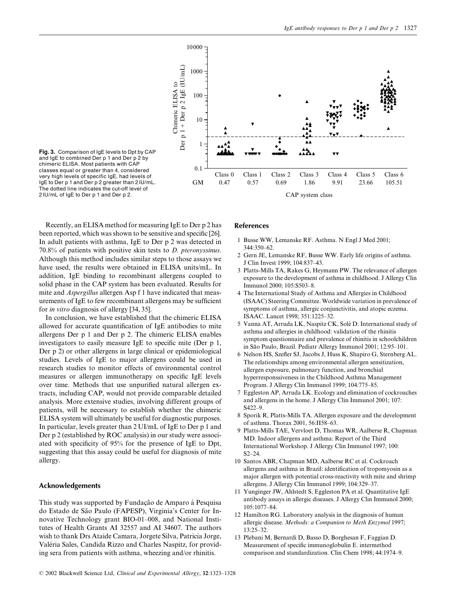

Fig. 3. Comparison of IgE levels to Dpt by CAP and IgE to combined Der p 1 and Der p 2 by chimeric ELISA. Most patients with CAP classes equal or greater than 4, considered very high levels of specific IgE, had levels of IgE to Der p 1 and Der p 2 greater than 2 IU/mL. The dotted line indicates the cut-off level of 2 IU/mL of IgE to Der p 1 and Der p 2.

Recently, an ELISA method for measuring IgE to Der p 2 has been reported, which was shown to be sensitive and specific [26]. In adult patients with asthma, IgE to Der p 2 was detected in 70.8% of patients with positive skin tests to  $D$ . pteronyssinus. Although this method includes similar steps to those assays we have used, the results were obtained in ELISA units/mL. In addition, IgE binding to recombinant allergens coupled to solid phase in the CAP system has been evaluated. Results for mite and Aspergillus allergen Asp f 1 have indicated that measurements of IgE to few recombinant allergens may be sufficient for *in vitro* diagnosis of allergy [34, 35].

In conclusion, we have established that the chimeric ELISA allowed for accurate quantification of IgE antibodies to mite allergens Der p 1 and Der p 2. The chimeric ELISA enables investigators to easily measure IgE to specific mite (Der  $p$  1, Der p 2) or other allergens in large clinical or epidemiological studies. Levels of IgE to major allergens could be used in research studies to monitor effects of environmental control measures or allergen immunotherapy on specific IgE levels over time. Methods that use unpurified natural allergen extracts, including CAP, would not provide comparable detailed analysis. More extensive studies, involving different groups of patients, will be necessary to establish whether the chimeric ELISA system will ultimately be useful for diagnostic purposes. In particular, levels greater than 2 UI/mL of IgE to Der p 1 and Der p 2 (established by ROC analysis) in our study were associated with specificity of  $95\%$  for the presence of IgE to Dpt, suggesting that this assay could be useful for diagnosis of mite allergy.

## Acknowledgements

This study was supported by Fundação de Amparo à Pesquisa do Estado de São Paulo (FAPESP), Virginia's Center for Innovative Technology grant BIO-01-008, and National Institutes of Health Grants AI 32557 and AI 34607. The authors wish to thank Drs Ataide Camara, Jorgete Silva, Patricia Jorge, Valéria Sales, Candida Rizzo and Charles Naspitz, for providing sera from patients with asthma, wheezing and/or rhinitis.

## References

- 1 Busse WW, Lemanske RF. Asthma. N Engl J Med 2001; 344:350-62.
- 2 Gern JE, Lemanske RF, Busse WW. Early life origins of asthma. J Clin Invest 1999; 104:837–43.
- 3 Platts-Mills TA, Rakes G, Heymann PW. The relevance of allergen exposure to the development of asthma in childhood. J Allergy Clin Immunol 2000; 105:S503-8.
- 4 The International Study of Asthma and Allergies in Childhood (ISAAC) Steering Committee. Worldwide variation in prevalence of symptoms of asthma, allergic conjunctivitis, and atopic eczema. ISAAC. Lancet 1998; 351:1225-32.
- 5 Vanna AT, Arruda LK, Naspitz CK, Solé D. International study of asthma and allergies in childhood: validation of the rhinitis symptom questionnaire and prevalence of rhinitis in schoolchildren in São Paulo, Brazil. Pediatr Allergy Immunol 2001; 12:95-101.
- 6 Nelson HS, Szefler SJ, Jacobs J, Huss K, Shapiro G, Sternberg AL. The relationships among environmental allergen sensitization, allergen exposure, pulmonary function, and bronchial hyperresponssiveness in the Childhood Asthma Management Program. J Allergy Clin Immunol 1999; 104:775-85.
- 7 Eggleston AP, Arruda LK. Ecology and elimination of cockroaches and allergens in the home. J Allergy Clin Immunol 2001; 107:  $S422-9$
- 8 Sporik R, Platts-Mills TA. Allergen exposure and the development of asthma. Thorax 2001, 56:II58-63.
- 9 Platts-Mills TAE, Vervloet D, Thomas WR, Aalberse R, Chapman MD. Indoor allergens and asthma: Report of the Third International Workshop. J Allergy Clin Immunol 1997; 100:  $S2 - 24$
- 10 Santos ABR, Chapman MD, Aalberse RC et al. Cockroach allergens and asthma in Brazil: identification of tropomyosin as a major allergen with potential cross-reactivity with mite and shrimp allergens. J Allergy Clin Immunol 1999; 104:329–37.
- 11 Yunginger JW, Ahlstedt S, Eggleston PA et al. Quantitative IgE antibody assays in allergic diseases. J Allergy Clin Immunol 2000; 105:1077-84.
- 12 Hamilton RG. Laboratory analysis in the diagnosis of human allergic disease. Methods: a Companion to Meth Enzymol 1997; 13:25-32.
- 13 Plebani M, Bernardi D, Basso D, Borghesan F, Faggian D. Measurement of specific immunoglobulin E. intermethod comparison and standardization. Clin Chem 1998; 44:1974-9.